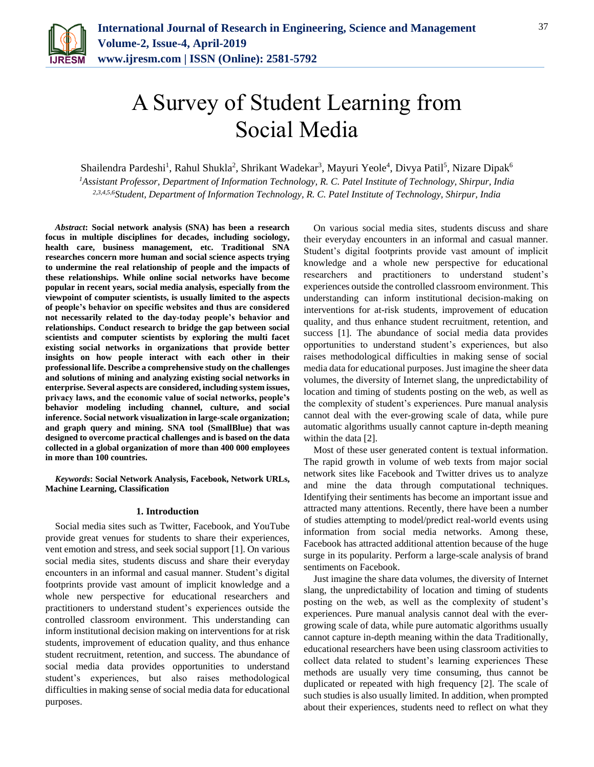

# A Survey of Student Learning from Social Media

Shailendra Pardeshi<sup>1</sup>, Rahul Shukla<sup>2</sup>, Shrikant Wadekar<sup>3</sup>, Mayuri Yeole<sup>4</sup>, Divya Patil<sup>5</sup>, Nizare Dipak<sup>6</sup> *<sup>1</sup>Assistant Professor, Department of Information Technology, R. C. Patel Institute of Technology, Shirpur, India*

*2,3,4,5,6Student, Department of Information Technology, R. C. Patel Institute of Technology, Shirpur, India*

*Abstract***: Social network analysis (SNA) has been a research focus in multiple disciplines for decades, including sociology, health care, business management, etc. Traditional SNA researches concern more human and social science aspects trying to undermine the real relationship of people and the impacts of these relationships. While online social networks have become popular in recent years, social media analysis, especially from the viewpoint of computer scientists, is usually limited to the aspects of people's behavior on specific websites and thus are considered not necessarily related to the day-today people's behavior and relationships. Conduct research to bridge the gap between social scientists and computer scientists by exploring the multi facet existing social networks in organizations that provide better insights on how people interact with each other in their professional life. Describe a comprehensive study on the challenges and solutions of mining and analyzing existing social networks in enterprise. Several aspects are considered, including system issues, privacy laws, and the economic value of social networks, people's behavior modeling including channel, culture, and social inference. Social network visualization in large-scale organization; and graph query and mining. SNA tool (SmallBlue) that was designed to overcome practical challenges and is based on the data collected in a global organization of more than 400 000 employees in more than 100 countries.**

*Keywords***: Social Network Analysis, Facebook, Network URLs, Machine Learning, Classification**

# **1. Introduction**

Social media sites such as Twitter, Facebook, and YouTube provide great venues for students to share their experiences, vent emotion and stress, and seek social support [1]. On various social media sites, students discuss and share their everyday encounters in an informal and casual manner. Student's digital footprints provide vast amount of implicit knowledge and a whole new perspective for educational researchers and practitioners to understand student's experiences outside the controlled classroom environment. This understanding can inform institutional decision making on interventions for at risk students, improvement of education quality, and thus enhance student recruitment, retention, and success. The abundance of social media data provides opportunities to understand student's experiences, but also raises methodological difficulties in making sense of social media data for educational purposes.

On various social media sites, students discuss and share their everyday encounters in an informal and casual manner. Student's digital footprints provide vast amount of implicit knowledge and a whole new perspective for educational researchers and practitioners to understand student's experiences outside the controlled classroom environment. This understanding can inform institutional decision-making on interventions for at-risk students, improvement of education quality, and thus enhance student recruitment, retention, and success [1]. The abundance of social media data provides opportunities to understand student's experiences, but also raises methodological difficulties in making sense of social media data for educational purposes. Just imagine the sheer data volumes, the diversity of Internet slang, the unpredictability of location and timing of students posting on the web, as well as the complexity of student's experiences. Pure manual analysis cannot deal with the ever-growing scale of data, while pure automatic algorithms usually cannot capture in-depth meaning within the data [2].

Most of these user generated content is textual information. The rapid growth in volume of web texts from major social network sites like Facebook and Twitter drives us to analyze and mine the data through computational techniques. Identifying their sentiments has become an important issue and attracted many attentions. Recently, there have been a number of studies attempting to model/predict real-world events using information from social media networks. Among these, Facebook has attracted additional attention because of the huge surge in its popularity. Perform a large-scale analysis of brand sentiments on Facebook.

Just imagine the share data volumes, the diversity of Internet slang, the unpredictability of location and timing of students posting on the web, as well as the complexity of student's experiences. Pure manual analysis cannot deal with the evergrowing scale of data, while pure automatic algorithms usually cannot capture in-depth meaning within the data Traditionally, educational researchers have been using classroom activities to collect data related to student's learning experiences These methods are usually very time consuming, thus cannot be duplicated or repeated with high frequency [2]. The scale of such studies is also usually limited. In addition, when prompted about their experiences, students need to reflect on what they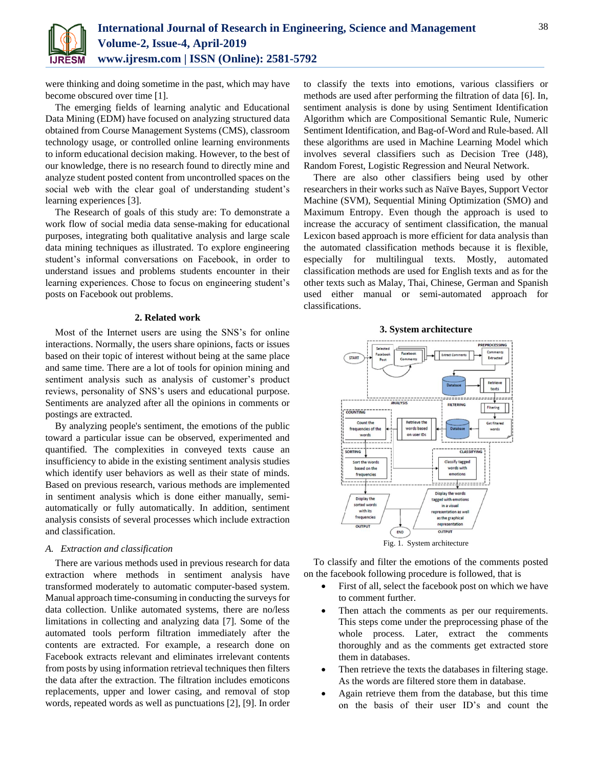

were thinking and doing sometime in the past, which may have become obscured over time [1].

The emerging fields of learning analytic and Educational Data Mining (EDM) have focused on analyzing structured data obtained from Course Management Systems (CMS), classroom technology usage, or controlled online learning environments to inform educational decision making. However, to the best of our knowledge, there is no research found to directly mine and analyze student posted content from uncontrolled spaces on the social web with the clear goal of understanding student's learning experiences [3].

The Research of goals of this study are: To demonstrate a work flow of social media data sense-making for educational purposes, integrating both qualitative analysis and large scale data mining techniques as illustrated. To explore engineering student's informal conversations on Facebook, in order to understand issues and problems students encounter in their learning experiences. Chose to focus on engineering student's posts on Facebook out problems.

## **2. Related work**

Most of the Internet users are using the SNS's for online interactions. Normally, the users share opinions, facts or issues based on their topic of interest without being at the same place and same time. There are a lot of tools for opinion mining and sentiment analysis such as analysis of customer's product reviews, personality of SNS's users and educational purpose. Sentiments are analyzed after all the opinions in comments or postings are extracted.

By analyzing people's sentiment, the emotions of the public toward a particular issue can be observed, experimented and quantified. The complexities in conveyed texts cause an insufficiency to abide in the existing sentiment analysis studies which identify user behaviors as well as their state of minds. Based on previous research, various methods are implemented in sentiment analysis which is done either manually, semiautomatically or fully automatically. In addition, sentiment analysis consists of several processes which include extraction and classification.

#### *A. Extraction and classification*

There are various methods used in previous research for data extraction where methods in sentiment analysis have transformed moderately to automatic computer-based system. Manual approach time-consuming in conducting the surveys for data collection. Unlike automated systems, there are no/less limitations in collecting and analyzing data [7]. Some of the automated tools perform filtration immediately after the contents are extracted. For example, a research done on Facebook extracts relevant and eliminates irrelevant contents from posts by using information retrieval techniques then filters the data after the extraction. The filtration includes emoticons replacements, upper and lower casing, and removal of stop words, repeated words as well as punctuations [2], [9]. In order

to classify the texts into emotions, various classifiers or methods are used after performing the filtration of data [6]. In, sentiment analysis is done by using Sentiment Identification Algorithm which are Compositional Semantic Rule, Numeric Sentiment Identification, and Bag-of-Word and Rule-based. All these algorithms are used in Machine Learning Model which involves several classifiers such as Decision Tree (J48), Random Forest, Logistic Regression and Neural Network.

There are also other classifiers being used by other researchers in their works such as Naïve Bayes, Support Vector Machine (SVM), Sequential Mining Optimization (SMO) and Maximum Entropy. Even though the approach is used to increase the accuracy of sentiment classification, the manual Lexicon based approach is more efficient for data analysis than the automated classification methods because it is flexible, especially for multilingual texts. Mostly, automated classification methods are used for English texts and as for the other texts such as Malay, Thai, Chinese, German and Spanish used either manual or semi-automated approach for classifications.



To classify and filter the emotions of the comments posted on the facebook following procedure is followed, that is

- First of all, select the facebook post on which we have to comment further.
- Then attach the comments as per our requirements. This steps come under the preprocessing phase of the whole process. Later, extract the comments thoroughly and as the comments get extracted store them in databases.
- Then retrieve the texts the databases in filtering stage. As the words are filtered store them in database.
- Again retrieve them from the database, but this time on the basis of their user ID's and count the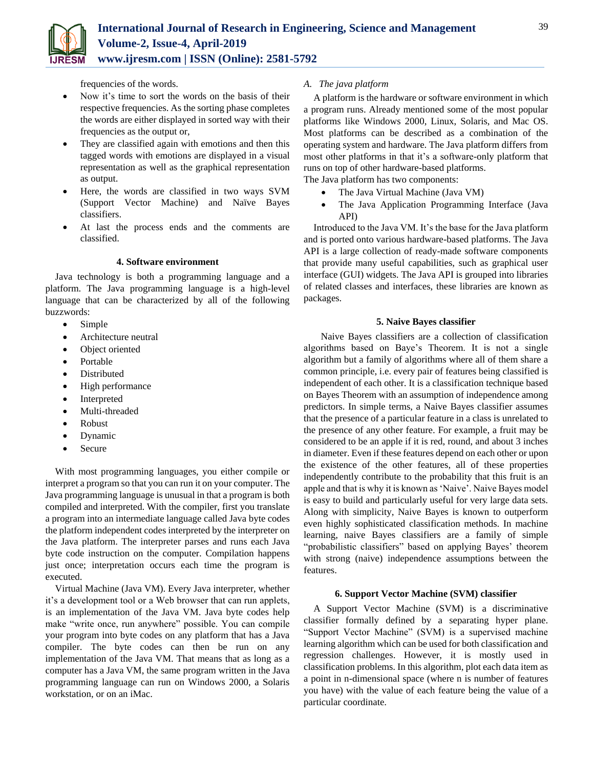

frequencies of the words.

- Now it's time to sort the words on the basis of their respective frequencies. As the sorting phase completes the words are either displayed in sorted way with their frequencies as the output or,
- They are classified again with emotions and then this tagged words with emotions are displayed in a visual representation as well as the graphical representation as output.
- Here, the words are classified in two ways SVM (Support Vector Machine) and Naïve Bayes classifiers.
- At last the process ends and the comments are classified.

# **4. Software environment**

Java technology is both a programming language and a platform. The Java programming language is a high-level language that can be characterized by all of the following buzzwords:

- Simple
- Architecture neutral
- Object oriented
- Portable
- Distributed
- High performance
- Interpreted
- Multi-threaded
- Robust
- Dynamic
- Secure

With most programming languages, you either compile or interpret a program so that you can run it on your computer. The Java programming language is unusual in that a program is both compiled and interpreted. With the compiler, first you translate a program into an intermediate language called Java byte codes the platform independent codes interpreted by the interpreter on the Java platform. The interpreter parses and runs each Java byte code instruction on the computer. Compilation happens just once; interpretation occurs each time the program is executed.

Virtual Machine (Java VM). Every Java interpreter, whether it's a development tool or a Web browser that can run applets, is an implementation of the Java VM. Java byte codes help make "write once, run anywhere" possible. You can compile your program into byte codes on any platform that has a Java compiler. The byte codes can then be run on any implementation of the Java VM. That means that as long as a computer has a Java VM, the same program written in the Java programming language can run on Windows 2000, a Solaris workstation, or on an iMac.

# *A. The java platform*

A platform is the hardware or software environment in which a program runs. Already mentioned some of the most popular platforms like Windows 2000, Linux, Solaris, and Mac OS. Most platforms can be described as a combination of the operating system and hardware. The Java platform differs from most other platforms in that it's a software-only platform that runs on top of other hardware-based platforms.

The Java platform has two components:

- The Java Virtual Machine (Java VM)
- The Java Application Programming Interface (Java API)

Introduced to the Java VM. It's the base for the Java platform and is ported onto various hardware-based platforms. The Java API is a large collection of ready-made software components that provide many useful capabilities, such as graphical user interface (GUI) widgets. The Java API is grouped into libraries of related classes and interfaces, these libraries are known as packages.

## **5. Naive Bayes classifier**

 Naive Bayes classifiers are a collection of classification algorithms based on Baye's Theorem. It is not a single algorithm but a family of algorithms where all of them share a common principle, i.e. every pair of features being classified is independent of each other. It is a classification technique based on Bayes Theorem with an assumption of independence among predictors. In simple terms, a Naive Bayes classifier assumes that the presence of a particular feature in a class is unrelated to the presence of any other feature. For example, a fruit may be considered to be an apple if it is red, round, and about 3 inches in diameter. Even if these features depend on each other or upon the existence of the other features, all of these properties independently contribute to the probability that this fruit is an apple and that is why it is known as 'Naive'. Naive Bayes model is easy to build and particularly useful for very large data sets. Along with simplicity, Naive Bayes is known to outperform even highly sophisticated classification methods. In machine learning, naive Bayes classifiers are a family of simple "probabilistic classifiers" based on applying Bayes' theorem with strong (naive) independence assumptions between the features.

#### **6. Support Vector Machine (SVM) classifier**

A Support Vector Machine (SVM) is a discriminative classifier formally defined by a separating hyper plane. "Support Vector Machine" (SVM) is a supervised machine learning algorithm which can be used for both classification and regression challenges. However, it is mostly used in classification problems. In this algorithm, plot each data item as a point in n-dimensional space (where n is number of features you have) with the value of each feature being the value of a particular coordinate.